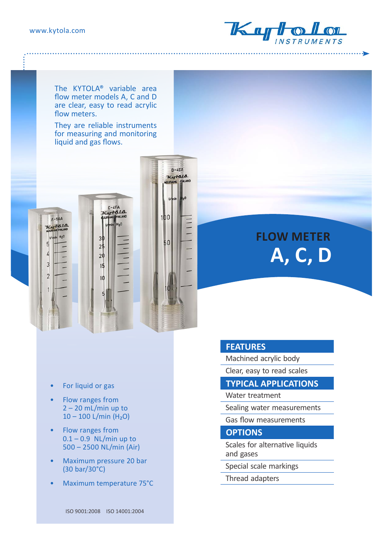$\overline{3}$ 

 $\overline{2}$ 



. . . . . . . . . . . .

The KYTOLA® variable area flow meter models A, C and D are clear, easy to read acrylic flow meters.

They are reliable instruments for measuring and monitoring liquid and gas flows.



# **FLOW METER A, C, D**

- For liquid or gas
- Flow ranges from  $2 - 20$  mL/min up to  $10 - 100$  L/min (H<sub>2</sub>O)
- Flow ranges from  $0.1 - 0.9$  NL/min up to 500 – 2500 NL/min (Air)
- Maximum pressure 20 bar (30 bar/30°C)
- Maximum temperature 75°C

#### **FEATURES**

Machined acrylic body

Clear, easy to read scales

#### **TYPICAL APPLICATIONS**

Water treatment

Sealing water measurements

Gas flow measurements

#### **OPTIONS**

Scales for alternative liquids and gases

Special scale markings

Thread adapters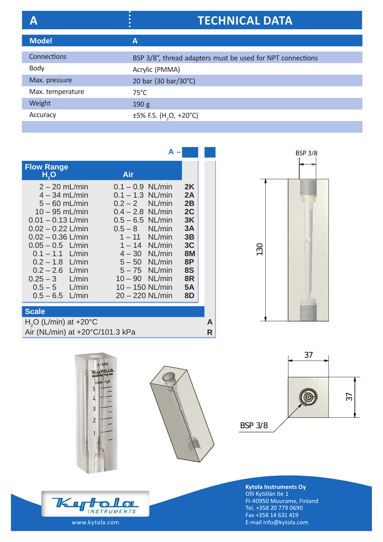## **A TECHNICAL DATA**

| <b>Model</b>     | A                                                          |
|------------------|------------------------------------------------------------|
|                  |                                                            |
| Connections      | BSP 3/8", thread adapters must be used for NPT connections |
| <b>Body</b>      | Acrylic (PMMA)                                             |
| Max. pressure    | 20 bar (30 bar/30°C)                                       |
| Max. temperature | $75^{\circ}$ C                                             |
| Weight           | 190 <sub>g</sub>                                           |
| Accuracy         | $\pm 5\%$ F.S. (H <sub>2</sub> O, +20°C)                   |
|                  |                                                            |

|                                                                                                                                                                                                                                                                                                 | А                                                                                                                                                                                                                                                                                   |                                                                                                |  |
|-------------------------------------------------------------------------------------------------------------------------------------------------------------------------------------------------------------------------------------------------------------------------------------------------|-------------------------------------------------------------------------------------------------------------------------------------------------------------------------------------------------------------------------------------------------------------------------------------|------------------------------------------------------------------------------------------------|--|
| <b>Flow Range</b><br>H, O                                                                                                                                                                                                                                                                       | Air                                                                                                                                                                                                                                                                                 |                                                                                                |  |
| $2 - 20$ mL/min<br>$4 - 34$ mL/min<br>$5 - 60$ mL/min<br>$10 - 95$ mL/min<br>$0.01 - 0.13$ L/min<br>$0.02 - 0.22$ L/min<br>$0.02 - 0.36$ L/min<br>$0.05 - 0.5$ L/min<br>$0.1 - 1.1$ L/min<br>$0.2 - 1.8$ L/min<br>$0.2 - 2.6$ L/min<br>$0.25 - 3$ L/min<br>$0.5 - 5$ L/min<br>$0.5 - 6.5$ L/min | $0.1 - 0.9$ NL/min<br>$0.1 - 1.3$ NL/min<br>$0.2 - 2$ NL/min<br>$0.4 - 2.8$ NL/min<br>$0.5 - 6.5$ NL/min<br>$0.5 - 8$ NL/min<br>$1 - 11$ NL/min<br>$1-14$ NL/min<br>$4 - 30$ NL/min<br>$5-50$ NL/min<br>$5-75$ NL/min<br>$10 - 90$ NL/min<br>$10 - 150$ NL/min<br>$20 - 220$ NL/min | 2K<br>2A<br>2B<br>2C<br>3K<br>3A<br>3B<br>3C<br><b>8M</b><br>8P<br>8S<br>8R<br><b>5A</b><br>8D |  |
| <b>Scale</b>                                                                                                                                                                                                                                                                                    |                                                                                                                                                                                                                                                                                     |                                                                                                |  |
| $H2O$ (L/min) at +20 $^{\circ}$ C                                                                                                                                                                                                                                                               |                                                                                                                                                                                                                                                                                     |                                                                                                |  |





Air (NL/min) at +20°C/101.3 kPa **R** 





**Kytola Instruments Oy** Olli Kytölän tie 1 FI-40950 Muurame, Finland Tel. +358 20 779 0690 Fax +358 14 631 419 E-mail info@kytola.com

BSP 3/8

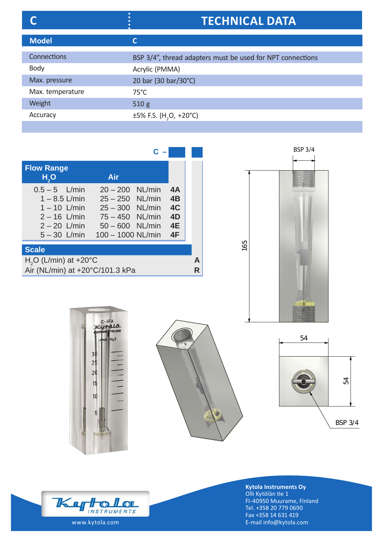## **C TECHNICAL DATA**

| <b>Model</b>     | С                                                          |
|------------------|------------------------------------------------------------|
|                  |                                                            |
| Connections      | BSP 3/4", thread adapters must be used for NPT connections |
| <b>Body</b>      | Acrylic (PMMA)                                             |
| Max. pressure    | 20 bar (30 bar/30°C)                                       |
| Max. temperature | 75°C                                                       |
| Weight           | 510g                                                       |
| Accuracy         | $\pm 5\%$ F.S. (H <sub>2</sub> O, +20°C)                   |

| <b>Flow Range</b><br>H <sub>2</sub> O                                                                      | Air                                                                                                                          |                                  |        |
|------------------------------------------------------------------------------------------------------------|------------------------------------------------------------------------------------------------------------------------------|----------------------------------|--------|
| $0.5 - 5$ L/min<br>$1 - 8.5$ L/min<br>$1 - 10$ L/min<br>$2 - 16$ L/min<br>$2 - 20$ L/min<br>$5 - 30$ L/min | $20 - 200$ NL/min<br>$25 - 250$ NL/min<br>$25 - 300$ NL/min<br>$75 - 450$ NL/min<br>$50 - 600$ NL/min<br>$100 - 1000$ NL/min | 4A<br>4B<br>4C<br>4D<br>4E<br>4F |        |
| <b>Scale</b>                                                                                               |                                                                                                                              |                                  |        |
| $H2O$ (L/min) at +20°C<br>Air (NL/min) at +20°C/101.3 kPa                                                  |                                                                                                                              |                                  | А<br>R |









**Kytola Instruments Oy** Olli Kytölän tie 1 FI-40950 Muurame, Finland Tel. +358 20 779 0690 Fax +358 14 631 419 E-mail info@kytola.com